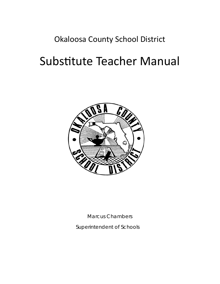## Okaloosa County School District

# Substitute Teacher Manual



Marcus Chambers

Superintendent of Schools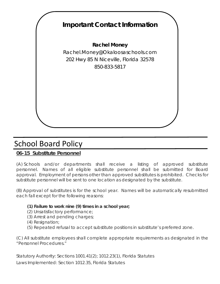

# School Board Policy

### **06-15 Substitute Personnel**

(A) Schools and/or departments shall receive a listing of approved substitute personnel. Names of all eligible substitute personnel shall be submitted for Board approval. Employment of persons other than approved substitutes is prohibited. Checks for substitute personnel will be sent to one location as designated by the substitute.

(B) Approval of substitutes is for the school year. Names will be automatically resubmitted each fall except for the following reasons:

#### **(1) Failure to work nine (9) times in a school year;**

- (2) Unsatisfactory performance;
- (3) Arrest and pending charges;
- (4) Resignation;
- (5) Repeated refusal to accept substitute positions in substitute's preferred zone.

(C) All substitute employees shall complete appropriate requirements as designated in the "Personnel Procedures."

Statutory Authority: Sections 1001.41(2); 1012.23(1), Florida Statutes Laws Implemented: Section 1012.35, Florida Statutes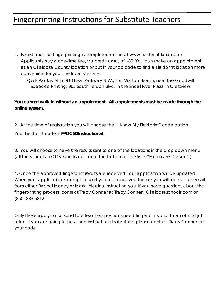## Fingerprinting Instructions for Substitute Teachers

1. Registration for fingerprinting is completed online at www.fieldprintflorida.com. Applicants pay a one-time fee, via credit card, of \$80. You can make an appointment at an Okaloosa County location or put in your zip code to find a Fieldprint location more convenient for you. The local sites are:

Qwik Pack & Ship, 913 Beal Parkway N.W., Fort Walton Beach, near the Goodwill Speedee Printing, 963 South Ferdon Blvd. in the Shoal River Plaza in Crestview

#### **You cannot walk in without an appointment. All appointments must be made through the online system.**

2. At the time of registration you will choose the "I Know My Fieldprint" code option.

Your Fieldprint code is **FPOCSDInstructional.** 

3. You will choose to have the results sent to one of the locations in the drop down menu (all the schools in OCSD are listed—or at the bottom of the list is "Employee Division".)

4. Once the approved fingerprint results are received, our application will be updated. When your application is complete and you are approved for hire you will receive an email from either Rachel Money or Maria Medina instructing you If you have questions about the fingerprinting process, contact Tracy Conner at Tracy.Conner@Okaloosaschools.com or (850) 833-5812.

Only those applying for substitute teachers positions need fingerprints prior to an official job offer. If you are going to be a non-instructional substitute, please contact Tracy Conner for your code.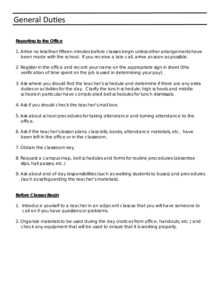### **General Duties**

#### **Reporting to the Office**

- 1. Arrive no less than fifteen minutes before classes begin unless other arrangements have been made with the school. If you receive a late call, arrive as soon as possible.
- 2. Register in the office and record your name on the appropriate sign in sheet (this verification of time spent on the job is used in determining your pay).
- 3. Ask where you should find the teacher's schedule and determine if there are any extra duties or activities for the day. Clarify the lunch schedule; high schools and middle schools in particular have complicated bell schedules for lunch dismissals.
- 4. Ask if you should check the teacher's mail box.
- 5. Ask about school procedures for taking attendance and turning attendance to the office.
- 6. Ask if the teacher's lesson plans, class rolls, books, attendance materials, etc, have been left in the office or in the classroom.
- 7. Obtain the classroom key.
- 8. Request a campus map, bell schedules and forms for routine procedures (absentee slips, hall passes, etc.)
- 9. Ask about end of day responsibilities (such as walking students to buses) and procedures (such as safeguarding the teacher's materials).

#### **Before Classes Begin**

- 1. Introduce yourself to a teacher in an adjacent class so that you will have someone to call on if you have questions or problems.
- 2. Organize materials to be used during the day (notices from office, handouts, etc.) and check any equipment that will be used to ensure that it is working properly.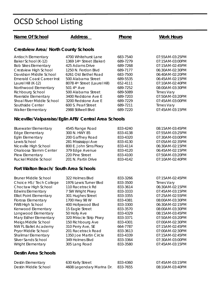# OCSD School Listing

| Name Of School                                                                                                                                                                                                                                                                                                                                                                                                      | <b>Address</b>                                                                                                                                                                                                                                                                                                                           | Phone                                                                                                                                                                                        | <b>Work Hours</b>                                                                                                                                                                                                                                                                                              |
|---------------------------------------------------------------------------------------------------------------------------------------------------------------------------------------------------------------------------------------------------------------------------------------------------------------------------------------------------------------------------------------------------------------------|------------------------------------------------------------------------------------------------------------------------------------------------------------------------------------------------------------------------------------------------------------------------------------------------------------------------------------------|----------------------------------------------------------------------------------------------------------------------------------------------------------------------------------------------|----------------------------------------------------------------------------------------------------------------------------------------------------------------------------------------------------------------------------------------------------------------------------------------------------------------|
| <b>Crestview Area/ North County Schools</b>                                                                                                                                                                                                                                                                                                                                                                         |                                                                                                                                                                                                                                                                                                                                          |                                                                                                                                                                                              |                                                                                                                                                                                                                                                                                                                |
| <b>Antioch Elementary</b><br>Baker School (K-12)<br><b>Bob Sikes Elementary</b><br>Crestview High School<br>Davidson Middle School<br><b>Emerald Coast Career Inst</b><br>Laurel Hill (K-12)<br>Northwood Elementary<br>Richbourg School<br>Riverside Elementary<br>Shoal River Middle School<br>Southside Center<br><b>Walker Elementary</b>                                                                       | 4700 Whitehurst Lane<br>1369 14th Street (Baker)<br>425 Adams Drive<br>1250 N. Ferdon Blvd<br>6261 Old Bethel Road<br>500 Alabama Street<br>8078 4th Street (Laurel Hill)<br>501 4th Ave<br>500 Alabama Street<br>3400 Redstone Ave E<br>3200 Redstone Ave E<br>600 S. Pearl Street<br>2988 Stillwell Blvd                               | 683-7540<br>689-7279<br>689-7268<br>689-7177<br>683-7500<br>689-5535<br>652-4111<br>689-7252<br>689-5089<br>689-7203<br>689-7229<br>689-7211<br>689-7220                                     | 07:55AM-03:25PM<br>07:15AM-03:00PM<br>07:15AM-02:45PM<br>06:30AM-02:30PM<br>06:40AM-02:20PM<br>06:45AM-02:15PM<br>07:10AM-02:40PM<br>08:00AM-03:30PM<br><b>Times Vary</b><br>07:50AM-03:20PM<br>07:45AM-03:00PM<br><b>Times Vary</b><br>07:45AM-03:15PM                                                        |
|                                                                                                                                                                                                                                                                                                                                                                                                                     | Niceville/Valparaiso/Eglin AFB/ Central Area Schools                                                                                                                                                                                                                                                                                     |                                                                                                                                                                                              |                                                                                                                                                                                                                                                                                                                |
| <b>Bluewater Elementary</b><br><b>Edge Elementary</b><br><b>Eglin Elementary</b><br>Lewis School<br>Niceville High School<br>Okaloosa Stemm Center<br>Plew Elementary<br>Ruckel Middle School                                                                                                                                                                                                                       | 4545 Range Road<br>300 N. HWY 85<br>200 Gaffney Road<br>281 Mississippi Ave<br>800 E. John Sims Pkwy<br>379 Edge Avenue<br>220 Pine Street<br>201 N. Partin Drive                                                                                                                                                                        | 833-4240<br>833-4138<br>833-4320<br>833-4130<br>833-4114<br>833-4120<br>833-4100<br>833-4142                                                                                                 | 08:15AM-03:45PM<br>07:55AM-03:25PM<br>07:30AM-03:00PM<br>07:05AM-02:35PM<br>06:30AM-02:15PM<br>06:45AM-02:15PM<br>07:50AM-03:20PM<br>07:10AM-02:40PM                                                                                                                                                           |
| Fort Walton Beach/ South Area Schools                                                                                                                                                                                                                                                                                                                                                                               |                                                                                                                                                                                                                                                                                                                                          |                                                                                                                                                                                              |                                                                                                                                                                                                                                                                                                                |
| <b>Bruner Middle School</b><br>Choice HS / Tech College<br>Choctaw High School<br><b>Edwins Elementary</b><br><b>Elliot Point Elementary</b><br>Florosa Elementary<br><b>FWB High School</b><br>Kenwood Elementary<br>Longwood Elementary<br>Mary Esther Elementary<br>Meigs Middle School<br><b>NW FL Ballet Academy</b><br>Pryor Middle School<br>Shalimar Elementary<br>Silver Sands School<br>Wright Elementary | 322 Holmes Blvd<br>1976 Lewis Turner Blvd<br>110 Racetrack Rd<br>7 SW Wright Pkwy<br>301 Hughes Street<br>1700 Hwy 98 W<br>400 Hollywood Blvd<br>15 Eagle Street<br>50 Holly Ave<br>320 Miracle Strip Pkwy<br>150 Richbourg Ave<br>310 Perry Ave, SE<br>201 Racetrack Road<br>1350 Joe Martin Circle<br>349 Holmes Blvd<br>305 Lang Road | 833-3266<br>833-3500<br>833-3614<br>833-3333<br>833-3355<br>833-4381<br>833-3300<br>833-3570<br>833-4329<br>833-3371<br>833-4301<br>664-7787<br>833-3613<br>833-4339<br>833-3364<br>833-3580 | 07:15AM-02:45PM<br><b>Times Vary</b><br>06:30AM-02:15PM<br>07:45AM-03:15PM<br>07:25AM-02:55PM<br>08:00AM-03:30PM<br>06:30AM-02:15PM<br>08:00AM-03:30PM<br>08:15AM-03:45PM<br>07:50AM-03:20PM<br>07:00AM-02:30PM<br>07:15AM-02:45PM<br>07:00AM-02:30PM<br>07:15AM-02:45PM<br>07:30AM-03:00PM<br>07:45AM-03:15PM |
| <b>Destin Area Schools</b>                                                                                                                                                                                                                                                                                                                                                                                          |                                                                                                                                                                                                                                                                                                                                          |                                                                                                                                                                                              |                                                                                                                                                                                                                                                                                                                |
| Destin Elementary<br>Destin Middle School                                                                                                                                                                                                                                                                                                                                                                           | 630 Kelly Street<br>4608 Legendary Marina Dr.                                                                                                                                                                                                                                                                                            | 833-4360<br>833-7655                                                                                                                                                                         | 07:45AM-03:15PM<br>08:10AM-03:40PM                                                                                                                                                                                                                                                                             |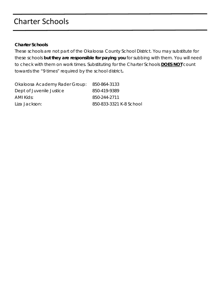# Charter Schools

#### **Charter Schools**

These schools are not part of the Okaloosa County School District. You may substitute for these schools **but they are responsible for paying you** for subbing with them. You will need to check with them on work times. Substituting for the Charter Schools **DOES NOT** count towards the "9 times" required by the school district**.** 

| Okaloosa Academy Rader Group: | 850-864-3133            |
|-------------------------------|-------------------------|
| Dept of Juvenile Justice      | 850-419-9389            |
| AMI Kids:                     | 850-244-2711            |
| Liza Jackson:                 | 850-833-3321 K-8 School |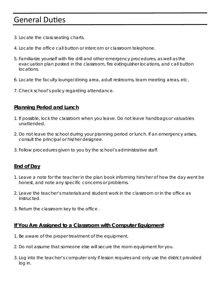### **General Duties**

- 3. Locate the class seating charts.
- 4. Locate the office call button or intercom or classroom telephone.
- 5. Familiarize yourself with fire drill and other emergency procedures, as well as the evacuation plan posted in the classroom, fire extinguisher locations, and call button locations.
- 6. Locate the faculty lounge/dining area, adult restrooms, team meeting areas, etc.
- 7. Check school's policy regarding attendance.

### **Planning Period and Lunch**

- 1. If possible, lock the classroom when you leave. Do not leave handbags or valuables unattended.
- 2. Do not leave the school during your planning period or lunch. If an emergency arises, consult the principal or his/her designee.
- 3. Follow procedures given to you by the school's administrative staff.

### **End of Day**

- 1. Leave a note for the teacher in the plan book informing him/her of how the day went be honest, and note any specific concerns or problems.
- 2. Leave the teacher's materials and student work in the classroom or in the office as instructed.
- 3. Return the classroom key to the office .

#### **If You Are Assigned to a Classroom with Computer Equipment**

- 1. Be aware of the proper treatment of the equipment.
- 2. Do not assume that someone else will secure the room equipment for you.
- 3. Log into the teacher's computer only if lesson requires and only use the district provided log in.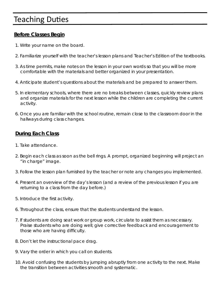### **Teaching Duties**

### **Before Classes Begin**

- 1. Write your name on the board.
- 2. Familiarize yourself with the teacher's lesson plans and Teacher's Edition of the textbooks.
- 3. As time permits, make notes on the lesson in your own words so that you will be more comfortable with the materials and better organized in your presentation.
- 4. Anticipate student's questions about the materials and be prepared to answer them.
- 5. In elementary schools, where there are no breaks between classes, quickly review plans and organize materials for the next lesson while the children are completing the current activity.
- 6. Once you are familiar with the school routine, remain close to the classroom door in the hallways during class changes.

### **During Each Class**

- 1. Take attendance.
- 2. Begin each class as soon as the bell rings. A prompt, organized beginning will project an "in charge" image.
- 3. Follow the lesson plan furnished by the teacher or note any changes you implemented.
- 4. Present an overview of the day's lesson (and a review of the previous lesson if you are returning to a class from the day before.)
- 5. Introduce the first activity.
- 6. Throughout the class, ensure that the students understand the lesson.
- 7. If students are doing seat work or group work, circulate to assist them as necessary. Praise students who are doing well; give corrective feedback and encouragement to those who are having difficulty.
- 8. Don't let the instructional pace drag.
- 9. Vary the order in which you call on students.
- 10. Avoid confusing the students by jumping abruptly from one activity to the next. Make the transition between activities smooth and systematic.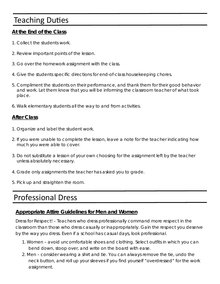# **Teaching Duties**

### **At the End of the Class**

- 1. Collect the students work.
- 2. Review important points of the lesson.
- 3. Go over the homework assignment with the class.
- 4. Give the students specific directions for end-of-class housekeeping chores.
- 5. Compliment the students on their performance, and thank them for their good behavior and work. Let them know that you will be informing the classroom teacher of what took place.
- 6. Walk elementary students all the way to and from activities.

### **After Class**

- 1. Organize and label the student work.
- 2. If you were unable to complete the lesson, leave a note for the teacher indicating how much you were able to cover.
- 3. Do not substitute a lesson of your own choosing for the assignment left by the teacher unless absolutely necessary.
- 4. Grade only assignments the teacher has asked you to grade.
- 5. Pick up and straighten the room.

### Professional Dress

#### **Appropriate Attire Guidelines for Men and Women**

Dress for Respect! – Teachers who dress professionally command more respect in the classroom than those who dress casually or inappropriately. Gain the respect you deserve by the way you dress. Even if a school has casual days, look professional.

- 1. Women avoid uncomfortable shoes and clothing. Select outfits in which you can bend down, stoop over, and write on the board with ease.
- 2. Men consider wearing a shirt and tie. You can always remove the tie, undo the neck button, and roll up your sleeves if you find yourself "overdressed" for the work assignment.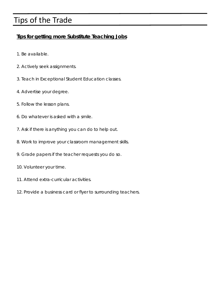# Tips of the Trade

### **Tips for getting more Substitute Teaching Jobs**

- 1. Be available.
- 2. Actively seek assignments.
- 3. Teach in Exceptional Student Education classes.
- 4. Advertise your degree.
- 5. Follow the lesson plans.
- 6. Do whatever is asked with a smile.
- 7. Ask if there is anything you can do to help out.
- 8. Work to improve your classroom management skills.
- 9. Grade papers if the teacher requests you do so.
- 10. Volunteer your time.
- 11. Attend extra-curricular activities.
- 12. Provide a business card or flyer to surrounding teachers.